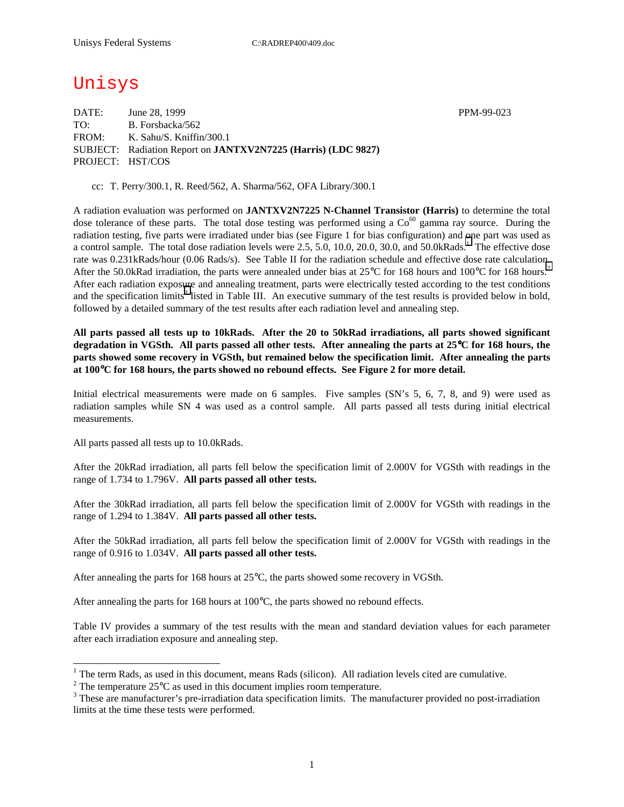# Unisys

DATE: June 28, 1999 PPM-99-023 TO: B. Forsbacka/562 FROM: K. Sahu/S. Kniffin/300.1 SUBJECT: Radiation Report on **JANTXV2N7225 (Harris) (LDC 9827)** PROJECT: HST/COS

cc: T. Perry/300.1, R. Reed/562, A. Sharma/562, OFA Library/300.1

A radiation evaluation was performed on **JANTXV2N7225 N-Channel Transistor (Harris)** to determine the total dose tolerance of these parts. The total dose testing was performed using a  $Co<sup>60</sup>$  gamma ray source. During the radiation testing, five parts were irradiated under bias (see Figure 1 for bias configuration) and one part was used as a control sample. The total dose radiation levels were 2.5, 5.0, 10.0, 20.0, 30.0, and 50.0kRads.<sup>1</sup> The effective dose rate was 0.231kRads/hour (0.06 Rads/s). See Table II for the radiation schedule and effective dose rate calculation. After the 50.0kRad irradiation, the parts were annealed under bias at  $25^{\circ}$ C for 168 hours and 100 $^{\circ}$ C for 168 hours.<sup>2</sup> After each radiation exposure and annealing treatment, parts were electrically tested according to the test conditions and the specification limits<sup>3</sup> listed in Table III. An executive summary of the test results is provided below in bold, followed by a detailed summary of the test results after each radiation level and annealing step.

**All parts passed all tests up to 10kRads. After the 20 to 50kRad irradiations, all parts showed significant degradation in VGSth. All parts passed all other tests. After annealing the parts at 25**°**C for 168 hours, the parts showed some recovery in VGSth, but remained below the specification limit. After annealing the parts at 100**°**C for 168 hours, the parts showed no rebound effects. See Figure 2 for more detail.** 

Initial electrical measurements were made on 6 samples. Five samples (SN's 5, 6, 7, 8, and 9) were used as radiation samples while SN 4 was used as a control sample. All parts passed all tests during initial electrical measurements.

All parts passed all tests up to 10.0kRads.

 $\overline{a}$ 

After the 20kRad irradiation, all parts fell below the specification limit of 2.000V for VGSth with readings in the range of 1.734 to 1.796V. **All parts passed all other tests.**

After the 30kRad irradiation, all parts fell below the specification limit of 2.000V for VGSth with readings in the range of 1.294 to 1.384V. **All parts passed all other tests.**

After the 50kRad irradiation, all parts fell below the specification limit of 2.000V for VGSth with readings in the range of 0.916 to 1.034V. **All parts passed all other tests.**

After annealing the parts for 168 hours at 25°C, the parts showed some recovery in VGSth.

After annealing the parts for 168 hours at 100°C, the parts showed no rebound effects.

Table IV provides a summary of the test results with the mean and standard deviation values for each parameter after each irradiation exposure and annealing step.

<sup>&</sup>lt;sup>1</sup> The term Rads, as used in this document, means Rads (silicon). All radiation levels cited are cumulative.

<sup>&</sup>lt;sup>2</sup> The temperature 25 $^{\circ}$ C as used in this document implies room temperature.  $^3$  These are manufacturer's are irrediction date apositionism limits. The manufacturer's

<sup>&</sup>lt;sup>3</sup> These are manufacturer's pre-irradiation data specification limits. The manufacturer provided no post-irradiation limits at the time these tests were performed.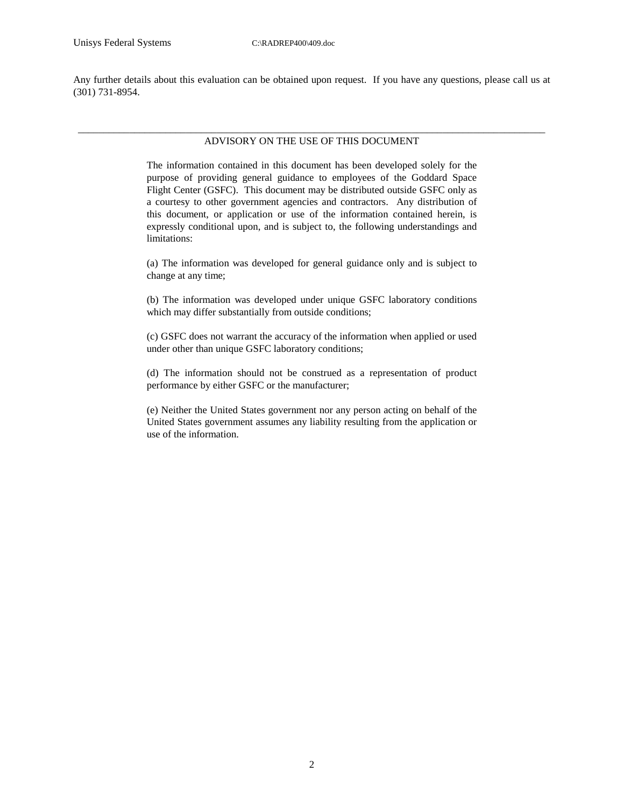Any further details about this evaluation can be obtained upon request. If you have any questions, please call us at (301) 731-8954.

#### \_\_\_\_\_\_\_\_\_\_\_\_\_\_\_\_\_\_\_\_\_\_\_\_\_\_\_\_\_\_\_\_\_\_\_\_\_\_\_\_\_\_\_\_\_\_\_\_\_\_\_\_\_\_\_\_\_\_\_\_\_\_\_\_\_\_\_\_\_\_\_\_\_\_\_\_\_\_\_\_\_\_\_\_\_\_\_\_\_\_\_ ADVISORY ON THE USE OF THIS DOCUMENT

The information contained in this document has been developed solely for the purpose of providing general guidance to employees of the Goddard Space Flight Center (GSFC). This document may be distributed outside GSFC only as a courtesy to other government agencies and contractors. Any distribution of this document, or application or use of the information contained herein, is expressly conditional upon, and is subject to, the following understandings and limitations:

(a) The information was developed for general guidance only and is subject to change at any time;

(b) The information was developed under unique GSFC laboratory conditions which may differ substantially from outside conditions;

(c) GSFC does not warrant the accuracy of the information when applied or used under other than unique GSFC laboratory conditions;

(d) The information should not be construed as a representation of product performance by either GSFC or the manufacturer;

(e) Neither the United States government nor any person acting on behalf of the United States government assumes any liability resulting from the application or use of the information.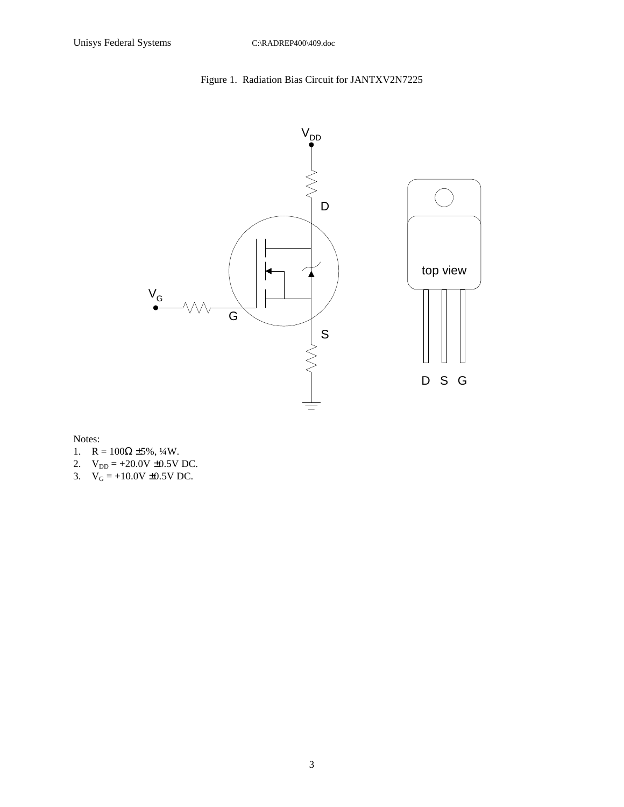## Figure 1. Radiation Bias Circuit for JANTXV2N7225



Notes:

- 1.  $R = 100\Omega \pm 5\%, \frac{1}{4}W$ .
- 2.  $V_{DD} = +20.0V \pm 0.5V$  DC.
- 3.  $V_G = +10.0V \pm 0.5V$  DC.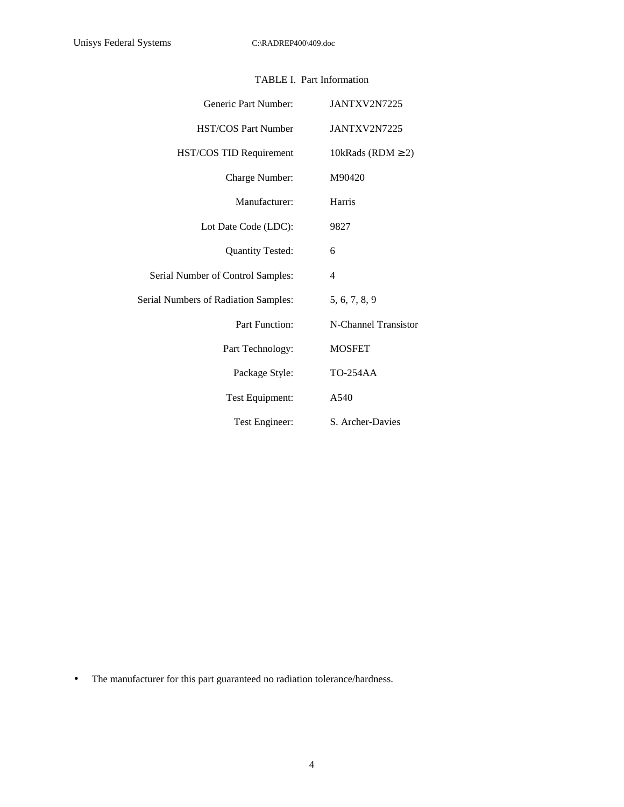| Generic Part Number:                        | JANTXV2N7225           |
|---------------------------------------------|------------------------|
| <b>HST/COS Part Number</b>                  | JANTXV2N7225           |
| HST/COS TID Requirement                     | 10kRads (RDM $\geq$ 2) |
| Charge Number:                              | M90420                 |
| Manufacturer:                               | Harris                 |
| Lot Date Code (LDC):                        | 9827                   |
| Quantity Tested:                            | 6                      |
| Serial Number of Control Samples:           | 4                      |
| <b>Serial Numbers of Radiation Samples:</b> | 5, 6, 7, 8, 9          |
| Part Function:                              | N-Channel Transistor   |
| Part Technology:                            | <b>MOSFET</b>          |
| Package Style:                              | <b>TO-254AA</b>        |
| Test Equipment:                             | A540                   |
| Test Engineer:                              | S. Archer-Davies       |

### TABLE I. Part Information

• The manufacturer for this part guaranteed no radiation tolerance/hardness.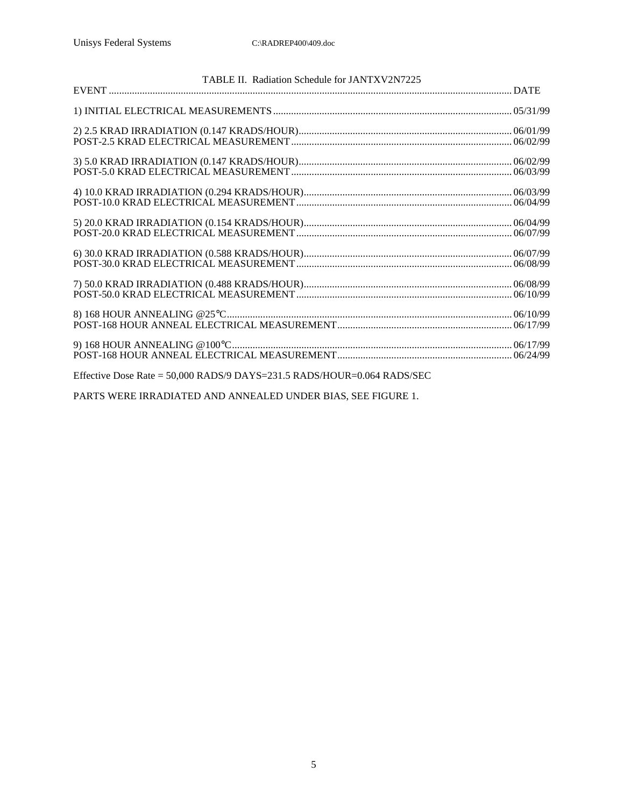| TABLE II. Radiation Schedule for JANTXV2N7225                           |  |
|-------------------------------------------------------------------------|--|
|                                                                         |  |
|                                                                         |  |
|                                                                         |  |
|                                                                         |  |
|                                                                         |  |
|                                                                         |  |
|                                                                         |  |
|                                                                         |  |
|                                                                         |  |
|                                                                         |  |
|                                                                         |  |
|                                                                         |  |
|                                                                         |  |
|                                                                         |  |
|                                                                         |  |
|                                                                         |  |
|                                                                         |  |
|                                                                         |  |
| Effective Dose Rate = 50,000 RADS/9 DAYS=231.5 RADS/HOUR=0.064 RADS/SEC |  |

PARTS WERE IRRADIATED AND ANNEALED UNDER BIAS, SEE FIGURE 1.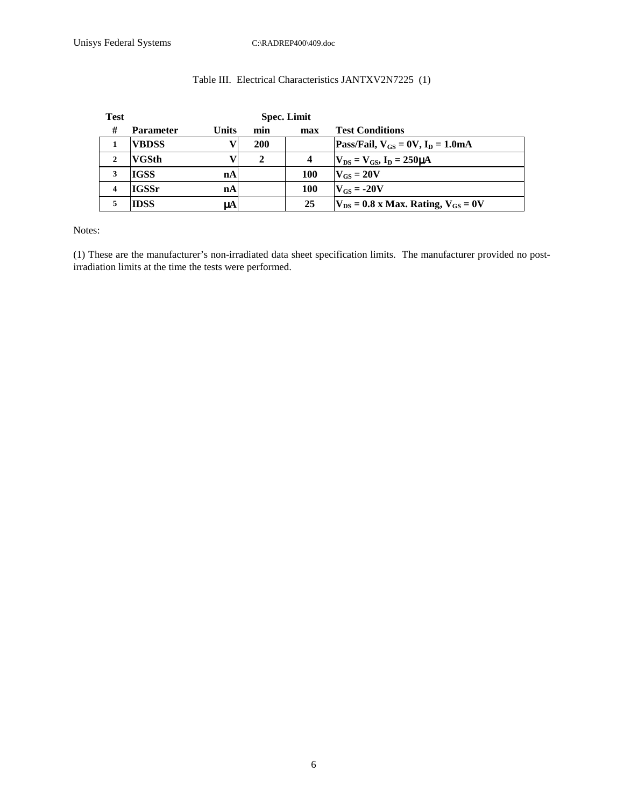# Table III. Electrical Characteristics JANTXV2N7225 (1)

| <b>Test</b> | <b>Spec. Limit</b> |       |              |            |                                             |
|-------------|--------------------|-------|--------------|------------|---------------------------------------------|
| #           | <b>Parameter</b>   | Units | min          | max        | <b>Test Conditions</b>                      |
|             | <b>VBDSS</b>       |       | <b>200</b>   |            | Pass/Fail, $V_{GS} = 0V$ , $I_D = 1.0mA$    |
|             | <b>VGSth</b>       |       | $\mathbf{2}$ | Δ          | $V_{DS} = V_{GS}$ , $I_D = 250 \mu A$       |
| 3           | <b>IGSS</b>        | nA    |              | <b>100</b> | $V_{GS} = 20V$                              |
|             | <b>IGSSr</b>       | nA    |              | <b>100</b> | $V_{CS} = -20V$                             |
|             | <b>IDSS</b>        | uA    |              | 25         | $V_{DS}$ = 0.8 x Max. Rating, $V_{GS}$ = 0V |

Notes:

(1) These are the manufacturer's non-irradiated data sheet specification limits. The manufacturer provided no postirradiation limits at the time the tests were performed.